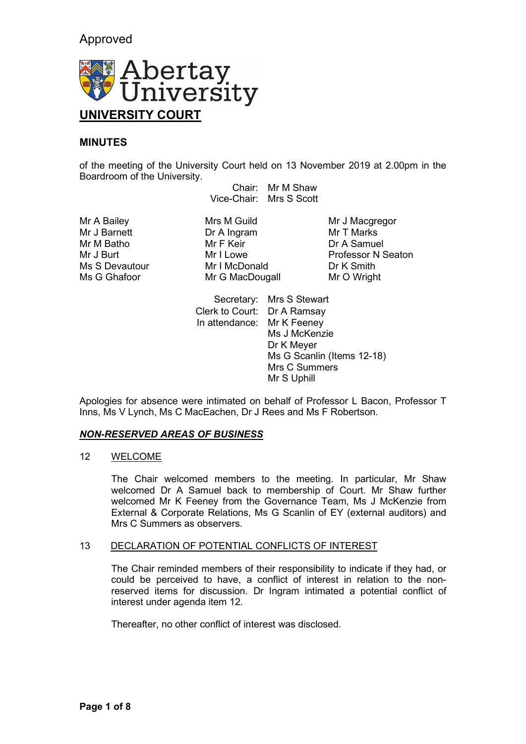# Approved



## **MINUTES**

of the meeting of the University Court held on 13 November 2019 at 2.00pm in the Boardroom of the University.

Chair: Mr M Shaw Vice-Chair: Mrs S Scott

Mr J Barnett Dr A Ingram Mr T Marks

Mr A Bailey **Mrs M Guild** Mr J Macgregor<br>
Mr J Barnett **Mr J Macgregor**<br>
Mr J Marks Ms S Devautour Mr I McDonald Dr K Smith<br>Mr G Ghafoor Mr G MacDougall Dr K O Wright Mr G MacDougall

Dr A Samuel Mr J Burt Mr I Lowe Professor N Seaton<br>
Mr I McDonald
Ms S Devautour
Mr I McDonald
Mr I McDonald
Mr I McDonald
Mr I McDonald
Mr I McDonald
Mr I McDonald
Mr I McDonald
Mr I McDonald
Mr I McDonald
Mr I McDonald
Mr I McDonald

> Secretary: Mrs S Stewart Clerk to Court: Dr A Ramsay In attendance: Mr K Feeney Ms J McKenzie Dr K Meyer Ms G Scanlin (Items 12-18) Mrs C Summers Mr S Uphill

Apologies for absence were intimated on behalf of Professor L Bacon, Professor T Inns, Ms V Lynch, Ms C MacEachen, Dr J Rees and Ms F Robertson.

### *NON-RESERVED AREAS OF BUSINESS*

#### 12 WELCOME

The Chair welcomed members to the meeting. In particular, Mr Shaw welcomed Dr A Samuel back to membership of Court. Mr Shaw further welcomed Mr K Feeney from the Governance Team, Ms J McKenzie from External & Corporate Relations, Ms G Scanlin of EY (external auditors) and Mrs C Summers as observers.

### 13 DECLARATION OF POTENTIAL CONFLICTS OF INTEREST

The Chair reminded members of their responsibility to indicate if they had, or could be perceived to have, a conflict of interest in relation to the nonreserved items for discussion. Dr Ingram intimated a potential conflict of interest under agenda item 12.

Thereafter, no other conflict of interest was disclosed.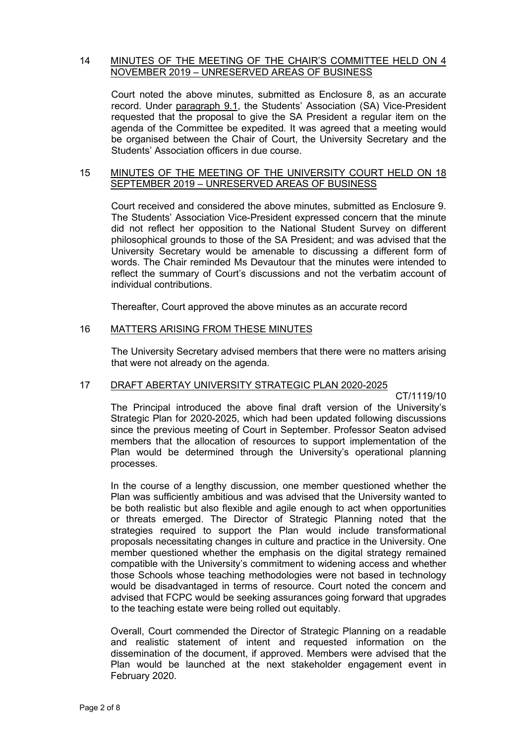#### 14 MINUTES OF THE MEETING OF THE CHAIR'S COMMITTEE HELD ON 4 NOVEMBER 2019 – UNRESERVED AREAS OF BUSINESS

Court noted the above minutes, submitted as Enclosure 8, as an accurate record. Under paragraph 9.1, the Students' Association (SA) Vice-President requested that the proposal to give the SA President a regular item on the agenda of the Committee be expedited. It was agreed that a meeting would be organised between the Chair of Court, the University Secretary and the Students' Association officers in due course.

#### 15 MINUTES OF THE MEETING OF THE UNIVERSITY COURT HELD ON 18 SEPTEMBER 2019 – UNRESERVED AREAS OF BUSINESS

Court received and considered the above minutes, submitted as Enclosure 9. The Students' Association Vice-President expressed concern that the minute did not reflect her opposition to the National Student Survey on different philosophical grounds to those of the SA President; and was advised that the University Secretary would be amenable to discussing a different form of words. The Chair reminded Ms Devautour that the minutes were intended to reflect the summary of Court's discussions and not the verbatim account of individual contributions.

Thereafter, Court approved the above minutes as an accurate record

### 16 MATTERS ARISING FROM THESE MINUTES

The University Secretary advised members that there were no matters arising that were not already on the agenda.

### 17 DRAFT ABERTAY UNIVERSITY STRATEGIC PLAN 2020-2025

CT/1119/10

The Principal introduced the above final draft version of the University's Strategic Plan for 2020-2025, which had been updated following discussions since the previous meeting of Court in September. Professor Seaton advised members that the allocation of resources to support implementation of the Plan would be determined through the University's operational planning processes.

In the course of a lengthy discussion, one member questioned whether the Plan was sufficiently ambitious and was advised that the University wanted to be both realistic but also flexible and agile enough to act when opportunities or threats emerged. The Director of Strategic Planning noted that the strategies required to support the Plan would include transformational proposals necessitating changes in culture and practice in the University. One member questioned whether the emphasis on the digital strategy remained compatible with the University's commitment to widening access and whether those Schools whose teaching methodologies were not based in technology would be disadvantaged in terms of resource. Court noted the concern and advised that FCPC would be seeking assurances going forward that upgrades to the teaching estate were being rolled out equitably.

Overall, Court commended the Director of Strategic Planning on a readable and realistic statement of intent and requested information on the dissemination of the document, if approved. Members were advised that the Plan would be launched at the next stakeholder engagement event in February 2020.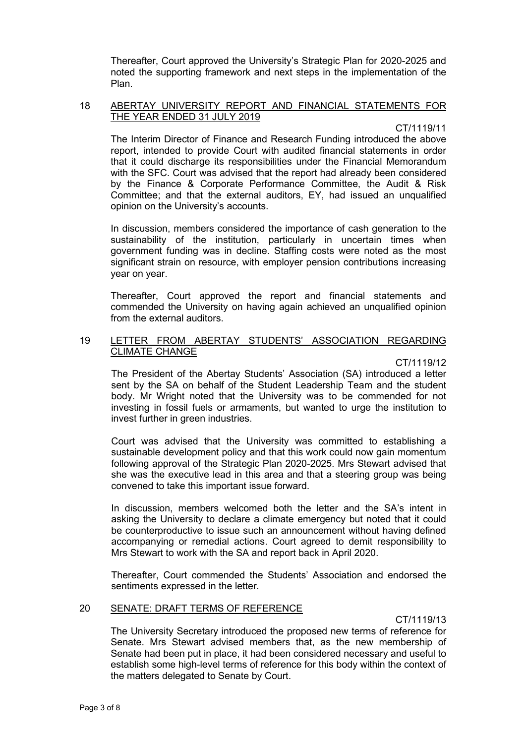Thereafter, Court approved the University's Strategic Plan for 2020-2025 and noted the supporting framework and next steps in the implementation of the Plan.

#### 18 ABERTAY UNIVERSITY REPORT AND FINANCIAL STATEMENTS FOR THE YEAR ENDED 31 JULY 2019

CT/1119/11

The Interim Director of Finance and Research Funding introduced the above report, intended to provide Court with audited financial statements in order that it could discharge its responsibilities under the Financial Memorandum with the SFC. Court was advised that the report had already been considered by the Finance & Corporate Performance Committee, the Audit & Risk Committee; and that the external auditors, EY, had issued an unqualified opinion on the University's accounts.

In discussion, members considered the importance of cash generation to the sustainability of the institution, particularly in uncertain times when government funding was in decline. Staffing costs were noted as the most significant strain on resource, with employer pension contributions increasing year on year.

Thereafter, Court approved the report and financial statements and commended the University on having again achieved an unqualified opinion from the external auditors.

### 19 LETTER FROM ABERTAY STUDENTS' ASSOCIATION REGARDING CLIMATE CHANGE

CT/1119/12

The President of the Abertay Students' Association (SA) introduced a letter sent by the SA on behalf of the Student Leadership Team and the student body. Mr Wright noted that the University was to be commended for not investing in fossil fuels or armaments, but wanted to urge the institution to invest further in green industries.

Court was advised that the University was committed to establishing a sustainable development policy and that this work could now gain momentum following approval of the Strategic Plan 2020-2025. Mrs Stewart advised that she was the executive lead in this area and that a steering group was being convened to take this important issue forward.

In discussion, members welcomed both the letter and the SA's intent in asking the University to declare a climate emergency but noted that it could be counterproductive to issue such an announcement without having defined accompanying or remedial actions. Court agreed to demit responsibility to Mrs Stewart to work with the SA and report back in April 2020.

Thereafter, Court commended the Students' Association and endorsed the sentiments expressed in the letter.

### 20 SENATE: DRAFT TERMS OF REFERENCE

CT/1119/13

The University Secretary introduced the proposed new terms of reference for Senate. Mrs Stewart advised members that, as the new membership of Senate had been put in place, it had been considered necessary and useful to establish some high-level terms of reference for this body within the context of the matters delegated to Senate by Court.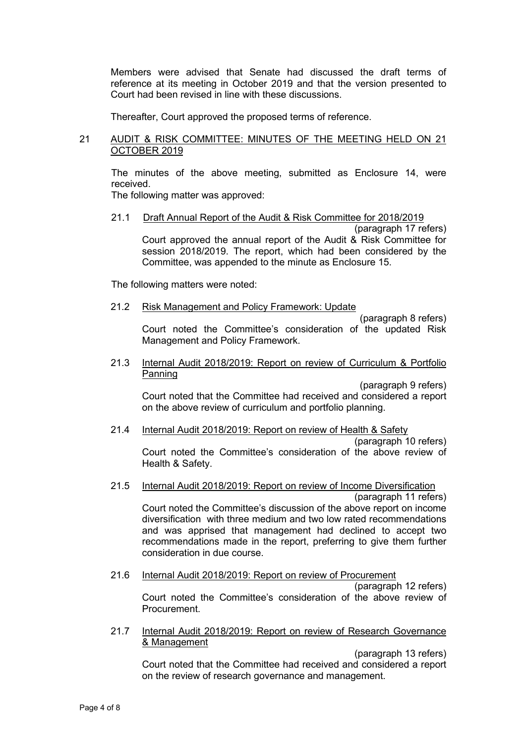Members were advised that Senate had discussed the draft terms of reference at its meeting in October 2019 and that the version presented to Court had been revised in line with these discussions.

Thereafter, Court approved the proposed terms of reference.

### 21 AUDIT & RISK COMMITTEE: MINUTES OF THE MEETING HELD ON 21 OCTOBER 2019

The minutes of the above meeting, submitted as Enclosure 14, were received.

The following matter was approved:

#### 21.1 Draft Annual Report of the Audit & Risk Committee for 2018/2019

(paragraph 17 refers) Court approved the annual report of the Audit & Risk Committee for session 2018/2019. The report, which had been considered by the Committee, was appended to the minute as Enclosure 15.

The following matters were noted:

21.2 Risk Management and Policy Framework: Update

(paragraph 8 refers) Court noted the Committee's consideration of the updated Risk Management and Policy Framework.

#### 21.3 Internal Audit 2018/2019: Report on review of Curriculum & Portfolio Panning

(paragraph 9 refers) Court noted that the Committee had received and considered a report on the above review of curriculum and portfolio planning.

21.4 Internal Audit 2018/2019: Report on review of Health & Safety (paragraph 10 refers)

Court noted the Committee's consideration of the above review of Health & Safety.

### 21.5 Internal Audit 2018/2019: Report on review of Income Diversification

(paragraph 11 refers) Court noted the Committee's discussion of the above report on income diversification with three medium and two low rated recommendations and was apprised that management had declined to accept two recommendations made in the report, preferring to give them further consideration in due course.

#### 21.6 Internal Audit 2018/2019: Report on review of Procurement

(paragraph 12 refers) Court noted the Committee's consideration of the above review of Procurement.

21.7 Internal Audit 2018/2019: Report on review of Research Governance & Management

(paragraph 13 refers)

Court noted that the Committee had received and considered a report on the review of research governance and management.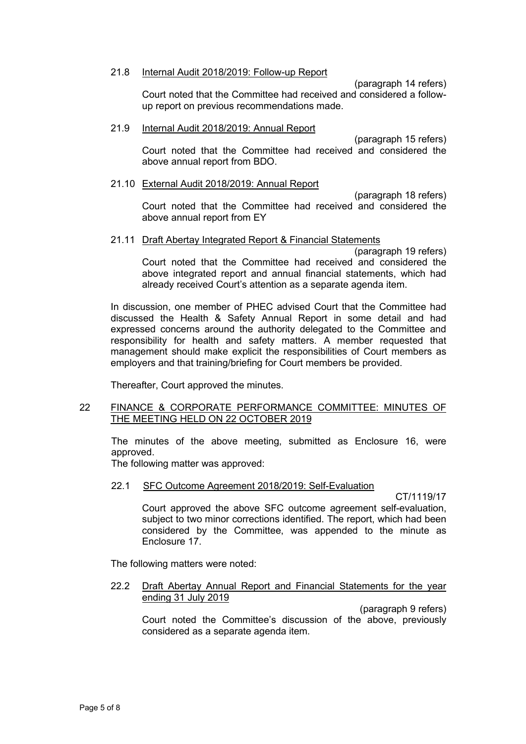#### 21.8 Internal Audit 2018/2019: Follow-up Report

(paragraph 14 refers) Court noted that the Committee had received and considered a followup report on previous recommendations made.

#### 21.9 Internal Audit 2018/2019: Annual Report

(paragraph 15 refers) Court noted that the Committee had received and considered the above annual report from BDO.

#### 21.10 External Audit 2018/2019: Annual Report

(paragraph 18 refers) Court noted that the Committee had received and considered the above annual report from EY

### 21.11 Draft Abertay Integrated Report & Financial Statements

(paragraph 19 refers) Court noted that the Committee had received and considered the above integrated report and annual financial statements, which had already received Court's attention as a separate agenda item.

In discussion, one member of PHEC advised Court that the Committee had discussed the Health & Safety Annual Report in some detail and had expressed concerns around the authority delegated to the Committee and responsibility for health and safety matters. A member requested that management should make explicit the responsibilities of Court members as employers and that training/briefing for Court members be provided.

Thereafter, Court approved the minutes.

#### 22 FINANCE & CORPORATE PERFORMANCE COMMITTEE: MINUTES OF THE MEETING HELD ON 22 OCTOBER 2019

The minutes of the above meeting, submitted as Enclosure 16, were approved.

The following matter was approved:

#### 22.1 SFC Outcome Agreement 2018/2019: Self-Evaluation

CT/1119/17

Court approved the above SFC outcome agreement self-evaluation, subject to two minor corrections identified. The report, which had been considered by the Committee, was appended to the minute as Enclosure 17.

The following matters were noted:

#### 22.2 Draft Abertay Annual Report and Financial Statements for the year ending 31 July 2019

(paragraph 9 refers)

Court noted the Committee's discussion of the above, previously considered as a separate agenda item.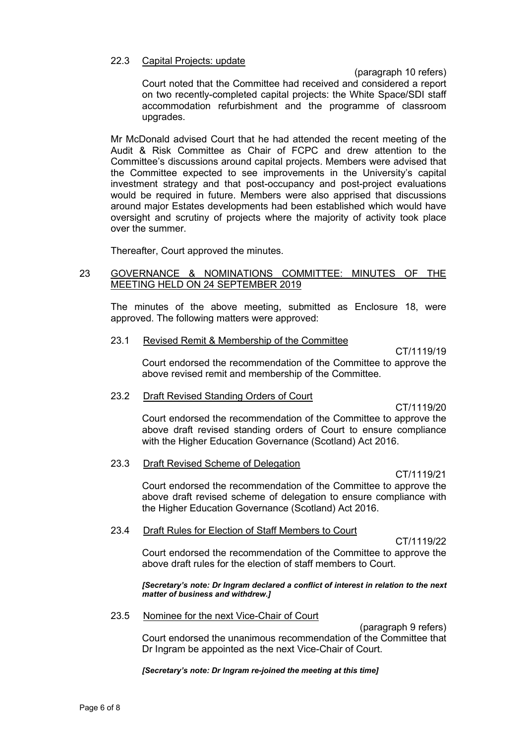#### 22.3 Capital Projects: update

(paragraph 10 refers)

Court noted that the Committee had received and considered a report on two recently-completed capital projects: the White Space/SDI staff accommodation refurbishment and the programme of classroom upgrades.

Mr McDonald advised Court that he had attended the recent meeting of the Audit & Risk Committee as Chair of FCPC and drew attention to the Committee's discussions around capital projects. Members were advised that the Committee expected to see improvements in the University's capital investment strategy and that post-occupancy and post-project evaluations would be required in future. Members were also apprised that discussions around major Estates developments had been established which would have oversight and scrutiny of projects where the majority of activity took place over the summer.

Thereafter, Court approved the minutes.

### 23 GOVERNANCE & NOMINATIONS COMMITTEE: MINUTES OF THE MEETING HELD ON 24 SEPTEMBER 2019

The minutes of the above meeting, submitted as Enclosure 18, were approved. The following matters were approved:

#### 23.1 Revised Remit & Membership of the Committee

CT/1119/19 Court endorsed the recommendation of the Committee to approve the above revised remit and membership of the Committee.

#### 23.2 Draft Revised Standing Orders of Court

CT/1119/20

Court endorsed the recommendation of the Committee to approve the above draft revised standing orders of Court to ensure compliance with the Higher Education Governance (Scotland) Act 2016.

### 23.3 Draft Revised Scheme of Delegation

CT/1119/21

Court endorsed the recommendation of the Committee to approve the above draft revised scheme of delegation to ensure compliance with the Higher Education Governance (Scotland) Act 2016.

#### 23.4 Draft Rules for Election of Staff Members to Court

CT/1119/22

Court endorsed the recommendation of the Committee to approve the above draft rules for the election of staff members to Court.

*[Secretary's note: Dr Ingram declared a conflict of interest in relation to the next matter of business and withdrew.]*

#### 23.5 Nominee for the next Vice-Chair of Court

(paragraph 9 refers) Court endorsed the unanimous recommendation of the Committee that Dr Ingram be appointed as the next Vice-Chair of Court.

*[Secretary's note: Dr Ingram re-joined the meeting at this time]*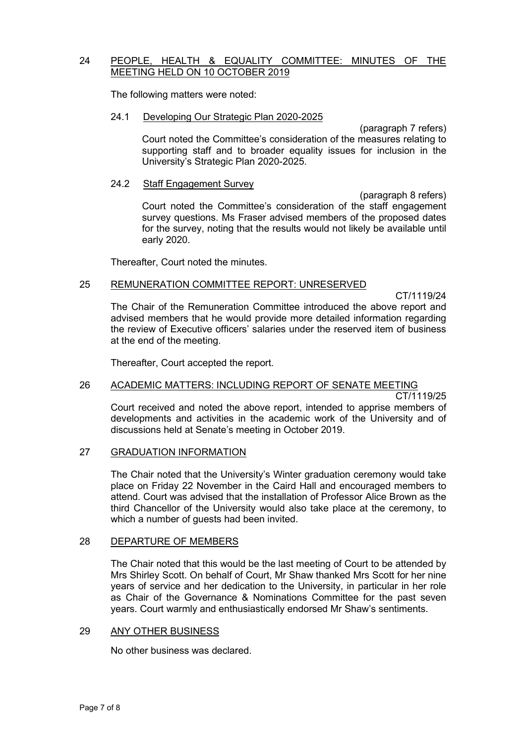### 24 PEOPLE, HEALTH & EQUALITY COMMITTEE: MINUTES OF THE MEETING HELD ON 10 OCTOBER 2019

The following matters were noted:

#### 24.1 Developing Our Strategic Plan 2020-2025

(paragraph 7 refers) Court noted the Committee's consideration of the measures relating to supporting staff and to broader equality issues for inclusion in the University's Strategic Plan 2020-2025.

#### 24.2 Staff Engagement Survey

(paragraph 8 refers) Court noted the Committee's consideration of the staff engagement survey questions. Ms Fraser advised members of the proposed dates for the survey, noting that the results would not likely be available until early 2020.

Thereafter, Court noted the minutes.

### 25 REMUNERATION COMMITTEE REPORT: UNRESERVED

CT/1119/24 The Chair of the Remuneration Committee introduced the above report and advised members that he would provide more detailed information regarding the review of Executive officers' salaries under the reserved item of business at the end of the meeting.

Thereafter, Court accepted the report.

## 26 ACADEMIC MATTERS: INCLUDING REPORT OF SENATE MEETING

CT/1119/25

Court received and noted the above report, intended to apprise members of developments and activities in the academic work of the University and of discussions held at Senate's meeting in October 2019.

### 27 GRADUATION INFORMATION

The Chair noted that the University's Winter graduation ceremony would take place on Friday 22 November in the Caird Hall and encouraged members to attend. Court was advised that the installation of Professor Alice Brown as the third Chancellor of the University would also take place at the ceremony, to which a number of guests had been invited.

### 28 DEPARTURE OF MEMBERS

The Chair noted that this would be the last meeting of Court to be attended by Mrs Shirley Scott. On behalf of Court, Mr Shaw thanked Mrs Scott for her nine years of service and her dedication to the University, in particular in her role as Chair of the Governance & Nominations Committee for the past seven years. Court warmly and enthusiastically endorsed Mr Shaw's sentiments.

### 29 ANY OTHER BUSINESS

No other business was declared.